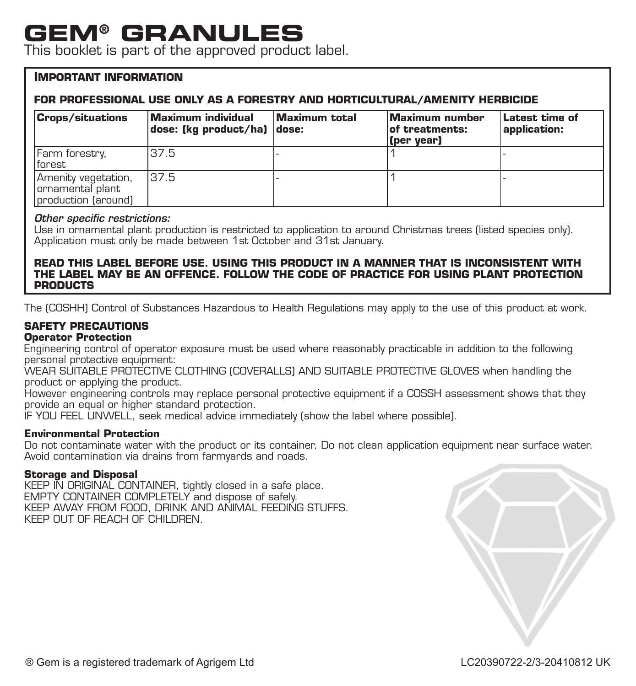# **GEM® GRANULES**

This booklet is part of the approved product label.

#### **IMPORTANT INFORMATION**

#### **FOR PROFESSIONAL USE ONLY AS A FORESTRY AND HORTICULTURAL/AMENITY HERBICIDE**

| <b>Crops/situations</b>                                         | Maximum individual<br> dose: (kg product/ha)  dose: | Maximum total | Maximum number<br>of treatments:<br>(per year) | Latest time of<br>application: |
|-----------------------------------------------------------------|-----------------------------------------------------|---------------|------------------------------------------------|--------------------------------|
| Farm forestry,<br>lforest                                       | 37.5                                                |               |                                                |                                |
| Amenity vegetation,<br>Iornamental plant<br>production (around) | 137.5                                               |               |                                                |                                |

#### *Other specific restrictions:*

Use in ornamental plant production is restricted to application to around Christmas trees (listed species only). Application must only be made between 1st October and 31st January.

#### **READ THIS LABEL BEFORE USE. USING THIS PRODUCT IN A MANNER THAT IS INCONSISTENT WITH THE LABEL MAY BE AN OFFENCE. FOLLOW THE CODE OF PRACTICE FOR USING PLANT PROTECTION PRODUCTS**

The (COSHH) Control of Substances Hazardous to Health Regulations may apply to the use of this product at work.

#### **SAFETY PRECAUTIONS**

#### **Operator Protection**

Engineering control of operator exposure must be used where reasonably practicable in addition to the following personal protective equipment:

WEAR SUITABLE PROTECTIVE CLOTHING (COVERALLS) AND SUITABLE PROTECTIVE GLOVES when handling the product or applying the product.

However engineering controls may replace personal protective equipment if a COSSH assessment shows that they provide an equal or higher standard protection.

IF YOU FEEL UNWELL, seek medical advice immediately (show the label where possible).

#### **Environmental Protection**

Do not contaminate water with the product or its container. Do not clean application equipment near surface water. Avoid contamination via drains from farmyards and roads.

#### **Storage and Disposal**

KEEP IN ORIGINAL CONTAINER, tightly closed in a safe place. EMPTY CONTAINER COMPLETELY and dispose of safely. KEEP AWAY FROM FOOD, DRINK AND ANIMAL FEEDING STUFFS. KEEP OUT OF REACH OF CHILDREN.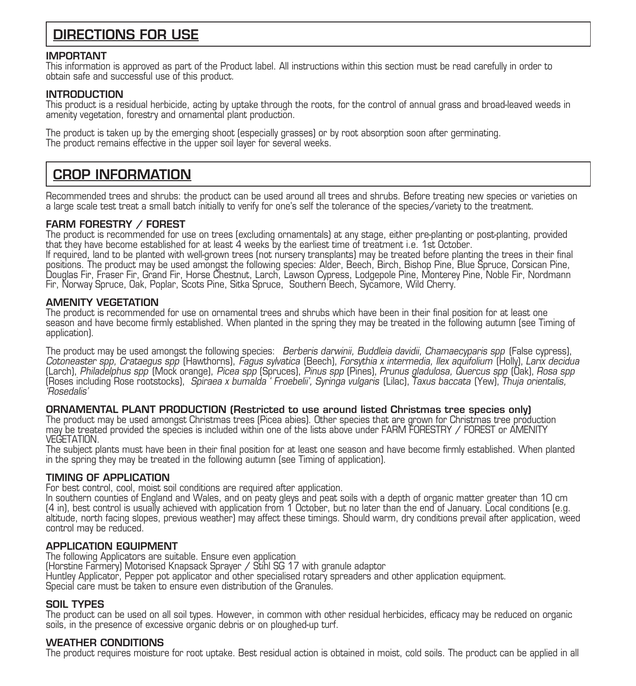### DIRECTIONS FOR USE

#### IMPORTANT

This information is approved as part of the Product label. All instructions within this section must be read carefully in order to<br>obtain safe and successful use of this product.

#### INTRODUCTION

This product is a residual herbicide, acting by uptake through the roots, for the control of annual grass and broad-leaved weeds in<br>amenity vegetation, forestry and ornamental plant production.

The product is taken up by the emerging shoot (especially grasses) or by root absorption soon after germinating. The product remains effective in the upper soil layer for several weeks.

### CROP INFORMATION

Recommended trees and shrubs: the product can be used around all trees and shrubs. Before treating new species or varieties on a large scale test treat a small batch initially to verify for one's self the tolerance of the species/variety to the treatment.

#### FARM FORESTRY / FOREST

The product is recommended for use on trees (excluding ornamentals) at any stage, either pre-planting or post-planting, provided that they have become established for at least 4 weeks by the earliest time of treatment i.e. 1st October. If required, land to be planted with well-grown trees (not nursery transplants) may be treated before planting the trees in their final positions. The product may be used amongst the following species: Alder, Beech, Birch, Bishop Pine, Blue Spruce, Corsican Pine, Douglas Fir, Fraser Fir, Grand Fir, Horse Chestnut, Larch, Lawson Cypress, Lodgepole Pine, Monterey Pine, Noble Fir, Nordmann Fir, Norway Spruce, Oak, Poplar, Scots Pine, Sitka Spruce, Southern Beech, Sycamore, Wild Cherry.

#### AMENITY VEGETATION

The product is recommended for use on ornamental trees and shrubs which have been in their final position for at least one season and have become firmly established. When planted in the spring they may be treated in the following autumn (see Timing of application).

The product may be used amongst the following species: Berberis darwinii, Buddleia davidii, Chamaecyparis spp (False cypress), Cotoneaster spp, Crataegus spp (Hawthorns), Fagus sylvatica (Beech), Forsythia x intermedia, Ilex aquifolium (Holly), Larix decidua (Larch), Philadelphus spp (Mock orange), Picea spp (Spruces), Pinus spp (Pines), Prunus gladulosa, Quercus spp (Oak), Rosa spp (Roses including Rose rootstocks), Spiraea x bumalda ' Froebelii', Syringa vulgaris (Lilac), Taxus baccata (Yew), Thuja orientalis, 'Rosedalis'

#### ORNAMENTAL PLANT PRODUCTION (Restricted to use around listed Christmas tree species only)

The product may be used amongst Christmas trees (Picea abies). Other species that are grown for Christmas tree production may be treated provided the species is included within one of the lists above under FARM FORESTRY / FOREST or AMENITY VEGETATION.

The subject plants must have been in their final position for at least one season and have become firmly established. When planted<br>in the spring they may be treated in the following autumn (see Timing of application).

#### TIMING OF APPLICATION

For best control, cool, moist soil conditions are required after application.

In southern counties of England and Wales, and on peaty gleys and peat soils with a depth of organic matter greater than 10 cm (4 in), best control is usually achieved with application from 1 October, but no later than the end of January. Local conditions (e.g. altitude, north facing slopes, previous weather) may affect these timings. Should warm, dry conditions prevail after application, weed control may be reduced.

#### APPLICATION EQUIPMENT

The following Applicators are suitable. Ensure even application (Horstine Farmery) Motorised Knapsack Sprayer / Stihl SG 17 with granule adaptor Huntley Applicator, Pepper pot applicator and other specialised rotary spreaders and other application equipment. Special care must be taken to ensure even distribution of the Granules.

#### SOIL TYPES

The product can be used on all soil types. However, in common with other residual herbicides, efficacy may be reduced on organic soils, in the presence of excessive organic debris or on ploughed-up turf.

#### WEATHER CONDITIONS

The product requires moisture for root uptake. Best residual action is obtained in moist, cold soils. The product can be applied in all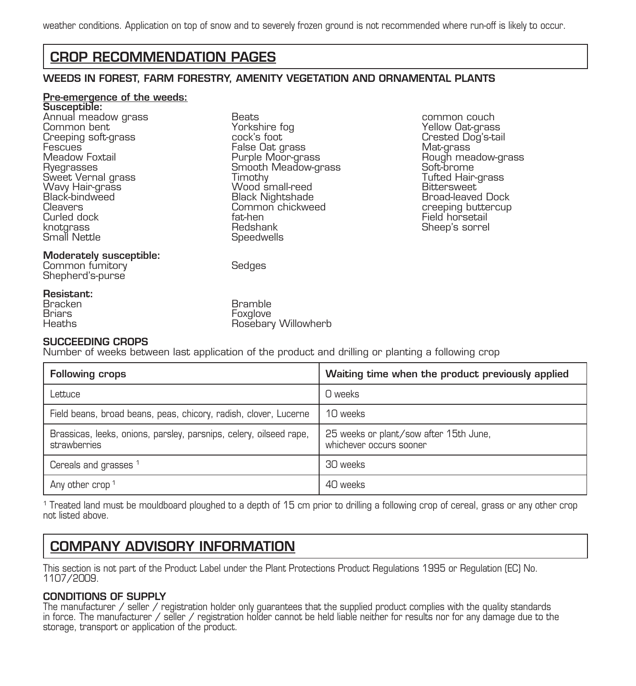### CROP RECOMMENDATION PAGES

#### WEEDS IN FOREST, FARM FORESTRY, AMENITY VEGETATION AND ORNAMENTAL PLANTS

## Pre-emergence of the weeds: Susceptible:

Annual meadow grass Beats common couch Common bent Yorkshire fog Yellow Oat-grass Creeping soft-grass cock's foot Crested Dog's-tail Fescues False Oat grass Mat-grass Meadow Foxtail Purple Moor-grass Rough meadow-grass Ryegram Meadow-Grass Timothy Sweet Vernal grass Timothy Tufted Hair-grass<br>Wav Hair-grass Wood small-reed Bittersweet Wavy Hair-grass Wood small-reed Bittersweet Black-bindweed Black Nightshade Broad-leaved Dock Cleavers Common chickweed creeping buttercup Curled dock fat-hen Field horsetail knotgrass Redshank Sheep's sorrel Small Nettle Speedwells

#### Moderately susceptible:

Common fumitory Sedges Shepherd's-purse

#### Resistant:

Bracken Bramble<br>Brians Bramble Bramble<br>Brians Bramble Bramble Briars Foxglove

#### SUCCEEDING CROPS

Number of weeks between last application of the product and drilling or planting a following crop

Rosebary Willowherb

| <b>Following crops</b>                                                             | Waiting time when the product previously applied                  |
|------------------------------------------------------------------------------------|-------------------------------------------------------------------|
| ettuce                                                                             | O weeks                                                           |
| Field beans, broad beans, peas, chicory, radish, clover, Lucerne                   | 10 weeks                                                          |
| Brassicas, leeks, onions, parsley, parsnips, celery, oilseed rape,<br>strawberries | 25 weeks or plant/sow after 15th June,<br>whichever occurs sooner |
| Cereals and grasses <sup>1</sup>                                                   | 30 weeks                                                          |
| Any other crop <sup>1</sup>                                                        | 40 weeks                                                          |

1 Treated land must be mouldboard ploughed to a depth of 15 cm prior to drilling a following crop of cereal, grass or any other crop not listed above.

### COMPANY ADVISORY INFORMATION

This section is not part of the Product Label under the Plant Protections Product Regulations 1995 or Regulation (EC) No. 1107/2009.

#### CONDITIONS OF SUPPLY

The manufacturer / seller / registration holder only guarantees that the supplied product complies with the quality standards<br>in force. The manufacturer / seller / registration holder cannot be held liable neither for resu storage, transport or application of the product.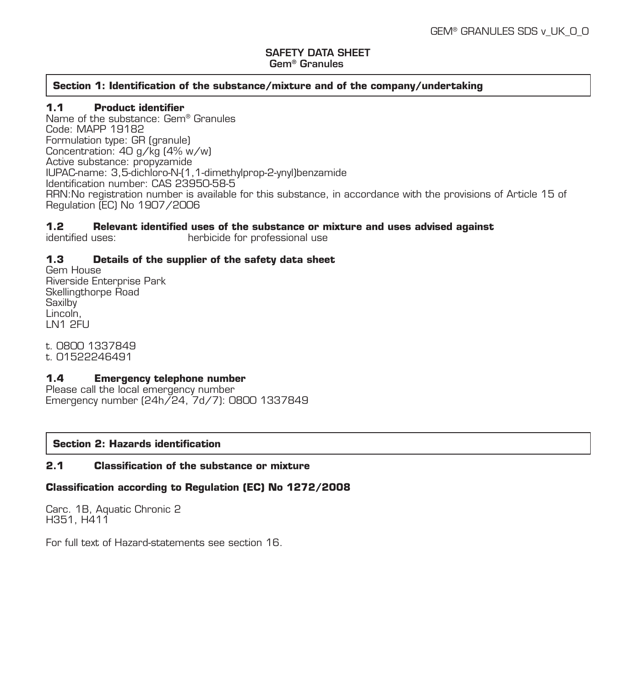#### SAFETY DATA SHEET Gem® Granules

#### **Section 1: Identification of the substance/mixture and of the company/undertaking**

#### **1.1 Product identifier**

Name of the substance: Gem® Granules Code: MAPP 19182 Formulation type: GR (granule) Concentration: 40 g/kg (4% w/w) Active substance: propyzamide IUPAC-name: 3,5-dichloro-N-(1,1-dimethylprop-2-ynyl)benzamide Identification number: CAS 23950-58-5 RRN:No registration number is available for this substance, in accordance with the provisions of Article 15 of Regulation (EC) No 1907/2006

### **1.2 Relevant identified uses of the substance or mixture and uses advised against**

herbicide for professional use

#### **1.3 Details of the supplier of the safety data sheet**

Gem House Riverside Enterprise Park Skellingthorpe Road **Saxilby** Lincoln, LN1 2FU

t. 0800 1337849 t. 01522246491

#### **1.4 Emergency telephone number**

Please call the local emergency number Emergency number (24h/24, 7d/7): 0800 1337849

#### **Section 2: Hazards identification**

#### **2.1 Classification of the substance or mixture**

#### **Classification according to Regulation (EC) No 1272/2008**

Carc. 1B, Aquatic Chronic 2 H351, H411

For full text of Hazard-statements see section 16.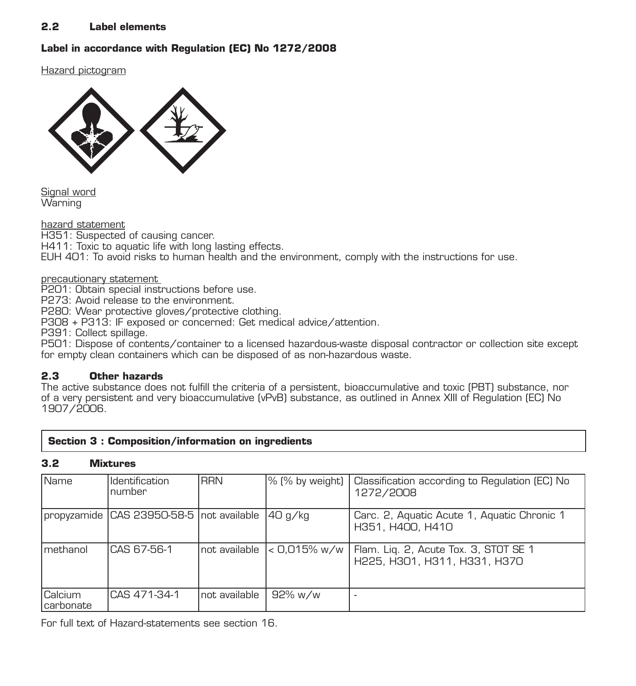#### **2.2 Label elements**

#### **Label in accordance with Regulation (EC) No 1272/2008**

Hazard pictogram



Signal word **Warning** 

hazard statement H351: Suspected of causing cancer. H411: Toxic to aquatic life with long lasting effects. EUH 401: To avoid risks to human health and the environment, comply with the instructions for use.

p<u>recautionary statement.</u><br>P201: Obtain special instructions before use.

P273: Avoid release to the environment.

P280: Wear protective gloves/protective clothing.

P308 + P313: IF exposed or concerned: Get medical advice/attention.

P391: Collect spillage.

P501: Dispose of contents/container to a licensed hazardous-waste disposal contractor or collection site except for empty clean containers which can be disposed of as non-hazardous waste.

#### **2.3 Other hazards**

The active substance does not fulfill the criteria of a persistent, bioaccumulative and toxic (PBT) substance, nor of a very persistent and very bioaccumulative (vPvB) substance, as outlined in Annex XIII of Regulation (EC) No 1907/2006.

|  |  |  | Section 3 : Composition/information on ingredients |
|--|--|--|----------------------------------------------------|
|--|--|--|----------------------------------------------------|

#### **3.2 Mixtures**

| Name                        | Identification<br>number                    | <b>RRN</b>     |          | 1% (% by weight)   Classification according to Regulation (EC) No<br>1272/2008       |
|-----------------------------|---------------------------------------------|----------------|----------|--------------------------------------------------------------------------------------|
|                             | Toropyzamide ICAS 23950-58-5 Inot available |                | 140 a⁄ka | Carc. 2, Aquatic Acute 1, Aquatic Chronic 1<br>H351, H400, H410                      |
| Imethanol                   | CAS 67-56-1                                 | Inot available |          | < 0,015% w/w   Flam. Lig. 2, Acute Tox. 3, STOT SE 1<br>H225, H301, H311, H331, H370 |
| Calcium<br><b>carbonate</b> | CAS 471-34-1                                | Inot available | 92% w/w  |                                                                                      |

For full text of Hazard-statements see section 16.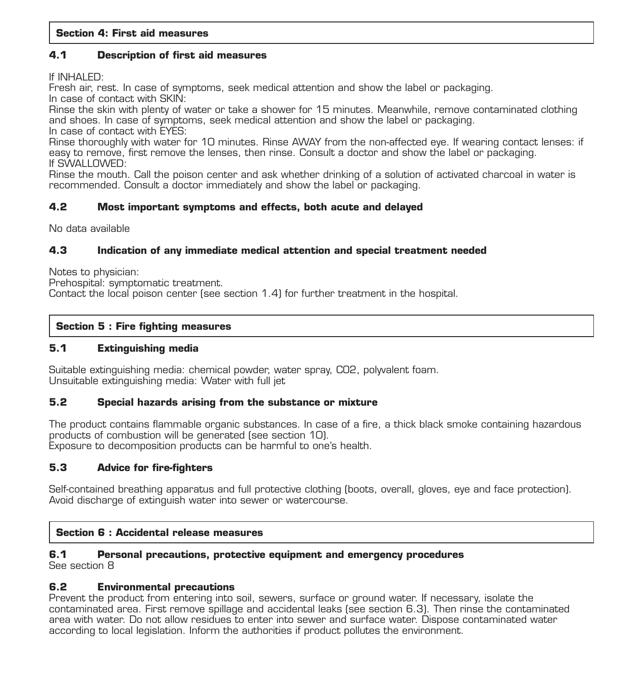#### **4.1 Description of first aid measures**

If INHALED:

Fresh air, rest. In case of symptoms, seek medical attention and show the label or packaging. In case of contact with SKIN:

Rinse the skin with plenty of water or take a shower for 15 minutes. Meanwhile, remove contaminated clothing and shoes. In case of symptoms, seek medical attention and show the label or packaging. In case of contact with EYES:

Rinse thoroughly with water for 10 minutes. Rinse AWAY from the non-affected eye. If wearing contact lenses: if easy to remove, first remove the lenses, then rinse. Consult a doctor and show the label or packaging. If SWALLOWED:

Rinse the mouth. Call the poison center and ask whether drinking of a solution of activated charcoal in water is recommended. Consult a doctor immediately and show the label or packaging.

#### **4.2 Most important symptoms and effects, both acute and delayed**

No data available

#### **4.3 Indication of any immediate medical attention and special treatment needed**

Notes to physician:

Prehospital: symptomatic treatment. Contact the local poison center (see section 1.4) for further treatment in the hospital.

#### **Section 5 : Fire fighting measures**

#### **5.1 Extinguishing media**

Suitable extinguishing media: chemical powder, water spray, CO2, polyvalent foam. Unsuitable extinguishing media: Water with full jet

#### **5.2 Special hazards arising from the substance or mixture**

The product contains flammable organic substances. In case of a fire, a thick black smoke containing hazardous products of combustion will be generated (see section 10). Exposure to decomposition products can be harmful to one's health.

#### **5.3 Advice for fire-fighters**

Self-contained breathing apparatus and full protective clothing (boots, overall, gloves, eye and face protection). Avoid discharge of extinguish water into sewer or watercourse.

#### **Section 6 : Accidental release measures**

#### **6.1 Personal precautions, protective equipment and emergency procedures**

See section 8

#### **6.2 Environmental precautions**

Prevent the product from entering into soil, sewers, surface or ground water. If necessary, isolate the contaminated area. First remove spillage and accidental leaks (see section 6.3). Then rinse the contaminated area with water. Do not allow residues to enter into sewer and surface water. Dispose contaminated water according to local legislation. Inform the authorities if product pollutes the environment.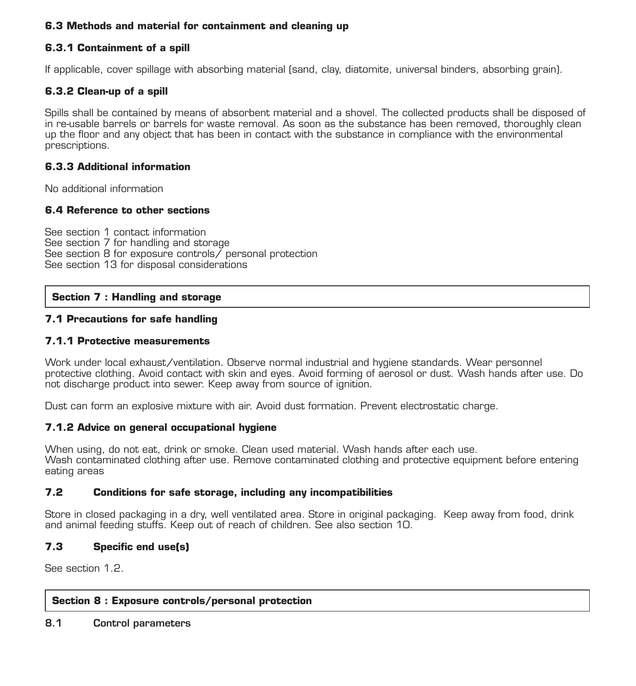#### **6.3 Methods and material for containment and cleaning up**

#### **6.3.1 Containment of a spill**

If applicable, cover spillage with absorbing material (sand, clay, diatomite, universal binders, absorbing grain).

#### **6.3.2 Clean-up of a spill**

Spills shall be contained by means of absorbent material and a shovel. The collected products shall be disposed of in re-usable barrels or barrels for waste removal. As soon as the substance has been removed, thoroughly clean up the floor and any object that has been in contact with the substance in compliance with the environmental prescriptions.

#### **6.3.3 Additional information**

No additional information

#### **6.4 Reference to other sections**

See section 1 contact information See section 7 for handling and storage See section 8 for exposure controls/ personal protection See section 13 for disposal considerations

#### **Section 7 : Handling and storage**

#### **7.1 Precautions for safe handling**

#### **7.1.1 Protective measurements**

Work under local exhaust/ventilation. Observe normal industrial and hygiene standards. Wear personnel protective clothing. Avoid contact with skin and eyes. Avoid forming of aerosol or dust. Wash hands after use. Do not discharge product into sewer. Keep away from source of ignition.

Dust can form an explosive mixture with air. Avoid dust formation. Prevent electrostatic charge.

#### **7.1.2 Advice on general occupational hygiene**

When using, do not eat, drink or smoke. Clean used material. Wash hands after each use. Wash contaminated clothing after use. Remove contaminated clothing and protective equipment before entering eating areas

#### **7.2 Conditions for safe storage, including any incompatibilities**

Store in closed packaging in a dry, well ventilated area. Store in original packaging. Keep away from food, drink and animal feeding stuffs. Keep out of reach of children. See also section 10.

#### **7.3 Specific end use(s)**

See section 1.2.

#### **Section 8 : Exposure controls/personal protection**

8.1 Control parameters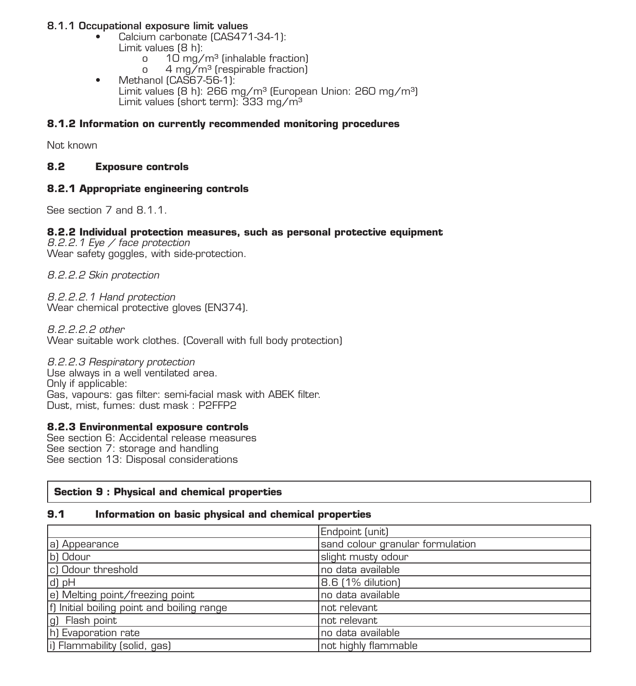#### 8.1.1 Occupational exposure limit values

- Calcium carbonate (CAS471-34-1): Limit values  $(8 h)$ :
	- o  $10 \text{ mg/m}^3$  (inhalable fraction)<br>o  $4 \text{ ma/m}^3$  (respirable fraction)
	- 4 mg/m<sup>3</sup> (respirable fraction)
- Methanol (CAS67-56-1): Limit values (8 h): 266 mg/m<sup>3</sup> (European Union: 260 mg/m<sup>3</sup>) Limit values (short term): 333 mg/m<sup>3</sup>

#### **8.1.2 Information on currently recommended monitoring procedures**

Not known

#### **8.2 Exposure controls**

#### **8.2.1 Appropriate engineering controls**

See section 7 and 8.1.1.

#### **8.2.2 Individual protection measures, such as personal protective equipment**

*8.2.2.1 Eye / face protection* Wear safety goggles, with side-protection.

*8.2.2.2 Skin protection*

*8.2.2.2.1 Hand protection* Wear chemical protective gloves (EN374).

*8.2.2.2.2 other* Wear suitable work clothes. (Coverall with full body protection)

*8.2.2.3 Respiratory protection* Use always in a well ventilated area. Only if applicable: Gas, vapours: gas filter: semi-facial mask with ABEK filter. Dust, mist, fumes: dust mask : P2FFP2

#### **8.2.3 Environmental exposure controls**

See section 6: Accidental release measures See section 7: storage and handling See section 13: Disposal considerations

#### **Section 9 : Physical and chemical properties**

#### **9.1 Information on basic physical and chemical properties**

|                                            | Endpoint (unit)                  |
|--------------------------------------------|----------------------------------|
| a) Appearance                              | sand colour granular formulation |
| b) Odour                                   | slight musty odour               |
| c) Odour threshold                         | Ino data available               |
| d) pH                                      | 8.6 [1% dilution]                |
| e) Melting point/freezing point            | no data available                |
| f) Initial boiling point and boiling range | not relevant                     |
| g) Flash point                             | not relevant                     |
| h) Evaporation rate                        | Ino data available               |
| (i) Flammability (solid, gas)              | not highly flammable             |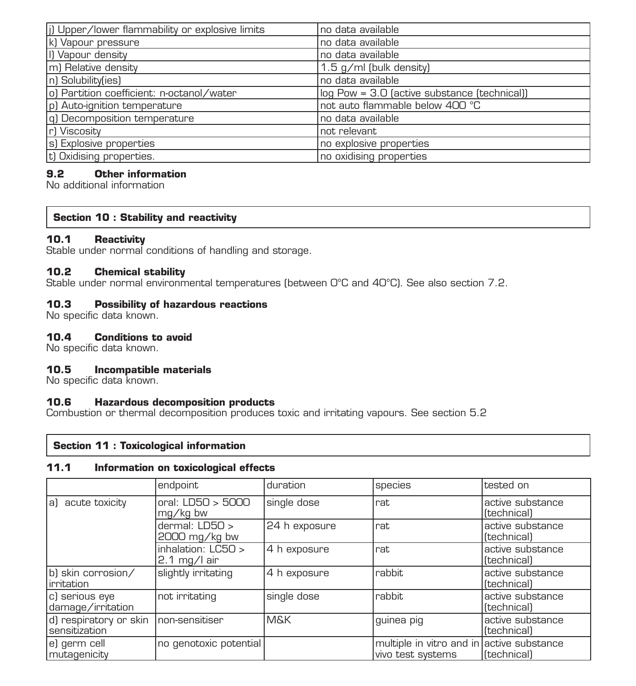| (i) Upper/lower flammability or explosive limits | no data available                            |
|--------------------------------------------------|----------------------------------------------|
| k) Vapour pressure                               | no data available                            |
| I) Vapour density                                | no data available                            |
| m) Relative density                              | 1.5 g/ml (bulk density)                      |
| In1 Solubility(ies)                              | no data available                            |
| o) Partition coefficient: n-octanol/water        | log Pow = 3.0 (active substance (technical)) |
| p) Auto-ignition temperature                     | not auto flammable below 400 °C              |
| [q] Decomposition temperature                    | no data available                            |
| r) Viscosity                                     | not relevant                                 |
| s) Explosive properties                          | no explosive properties                      |
| (t) Oxidising properties.                        | no oxidising properties                      |

#### **9.2 Other information**

No additional information

#### **Section 10 : Stability and reactivity**

#### **10.1 Reactivity**

Stable under normal conditions of handling and storage.

#### **10.2 Chemical stability**

Stable under normal environmental temperatures (between 0°C and 40°C). See also section 7.2.

#### **10.3 Possibility of hazardous reactions**

No specific data known.

#### **10.4 Conditions to avoid**

No specific data known.

#### **10.5 Incompatible materials**

No specific data known.

#### **10.6 Hazardous decomposition products**

Combustion or thermal decomposition produces toxic and irritating vapours. See section 5.2

#### **Section 11 : Toxicological information**

#### **11.1 Information on toxicological effects**

|                                                        | endpoint                           | duration      | species                                                        | tested on                                     |
|--------------------------------------------------------|------------------------------------|---------------|----------------------------------------------------------------|-----------------------------------------------|
| a) acute toxicity                                      | orel: LDSO > 5000<br>mg/kg bw      | single dose   | rat                                                            | active substance<br><i>(technical)</i>        |
|                                                        | dermal: LD50 ><br>2000 mg/kg bw    | 24 h exposure | rat                                                            | active substance<br><i>(technical)</i>        |
|                                                        | inhalation: LC50 ><br>2.1 mg/l air | 4 h exposure  | rat                                                            | active substance<br>(technical)               |
| b) skin corrosion/<br>irritation                       | slightly irritating                | 4 h exposure  | rabbit.                                                        | active substance<br>(ftechnical)              |
| c) serious eye<br>damage/irritation                    | not irritating                     | single dose   | rabbit.                                                        | active substance<br>(technical)               |
| d) respiratory or skin non-sensitiser<br>sensitization |                                    | M&K           | guinea pig                                                     | active substance<br><i><b>ftechnicall</b></i> |
| e) germ cell<br>mutagenicity                           | no genotoxic potential             |               | multiple in vitro and in active substance<br>vivo test systems | ftechnicall                                   |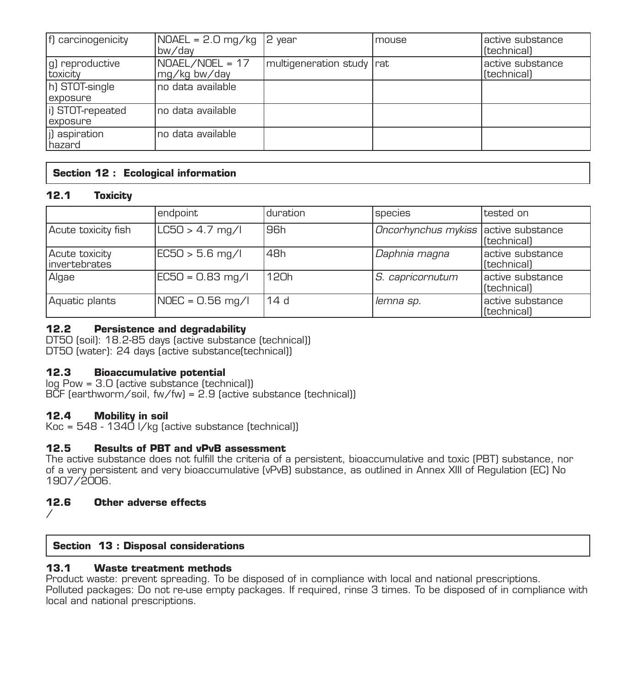| f) carcinogenicity           | $NOAEL = 2.0 mg/kg$<br>bw/dav   | $ 2$ year                 | Imouse | lactive substance<br>lftechnical) |
|------------------------------|---------------------------------|---------------------------|--------|-----------------------------------|
| g) reproductive<br>toxicity  | NOAEL/NOEL = 17<br>mg/kg bw/day | multigeneration study rat |        | active substance<br>[technical]   |
| h) STOT-single<br>exposure   | Ino data available.             |                           |        |                                   |
| i) STOT-repeated<br>exposure | Ino data available.             |                           |        |                                   |
| (i) aspiration<br>Ihazard    | Ino data available.             |                           |        |                                   |

#### **Section 12 : Ecological information**

#### **12.1 Toxicity**

|                                  | endpoint            | duration          | <b>Species</b>                       | tested on                        |
|----------------------------------|---------------------|-------------------|--------------------------------------|----------------------------------|
| Acute toxicity fish              | $ L C50 > 4.7$ mg/l | 96 <sub>h</sub>   | Oncorhynchus mykiss active substance | [technical]                      |
| Acute toxicity<br>linvertebrates | EC50 > 5.6 mg/l     | 48h               | Daphnia magna                        | active substance<br>lftechnical) |
| Algae                            | EC50 = 0.83 mg/l    | 12 <sub>0</sub> h | S. capricornutum                     | lactive substance<br>[technical] |
| Aquatic plants                   | NOEC = 0.56 mg/l    | 14d               | lemna sp.                            | active substance<br>[technical]  |

#### **12.2 Persistence and degradability**

DT50 (soil): 18.2-85 days (active substance (technical)) DT50 (water): 24 days (active substance(technical))

#### **12.3 Bioaccumulative potential**

log Pow = 3.0 (active substance (technical)) BCF (earthworm/soil, fw/fw) = 2.9 (active substance (technical))

#### **12.4 Mobility in soil**

Koc = 548 - 1340 l/kg (active substance (technical))

#### **12.5 Results of PBT and vPvB assessment**

The active substance does not fulfill the criteria of a persistent, bioaccumulative and toxic (PBT) substance, nor of a very persistent and very bioaccumulative (vPvB) substance, as outlined in Annex XIII of Regulation (EC) No 1907/2006.

#### **12.6 Other adverse effects**

/

### **Section 13 : Disposal considerations**

#### **13.1 Waste treatment methods**

Product waste: prevent spreading. To be disposed of in compliance with local and national prescriptions. Polluted packages: Do not re-use empty packages. If required, rinse 3 times. To be disposed of in compliance with local and national prescriptions.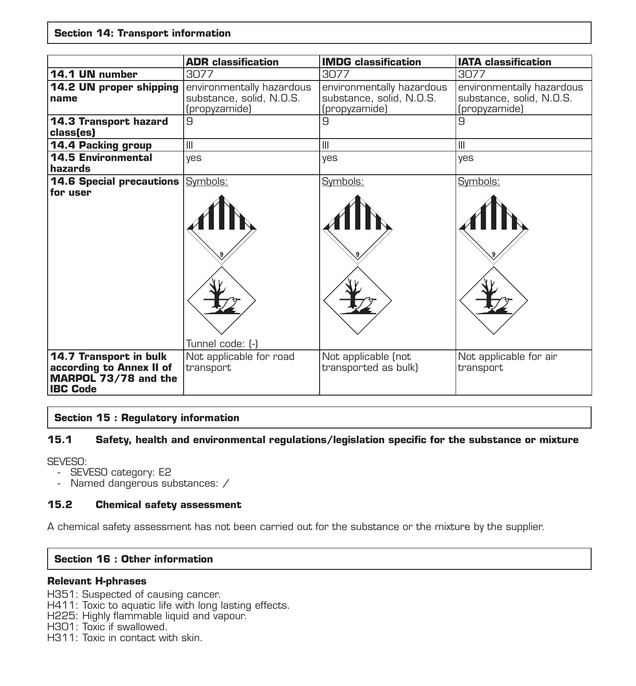#### **Section 14: Transport information**

|                                                                                                      | <b>ADR</b> classification                                              | <b>IMDG</b> classification                                             | <b>IATA</b> classification                                             |
|------------------------------------------------------------------------------------------------------|------------------------------------------------------------------------|------------------------------------------------------------------------|------------------------------------------------------------------------|
| 14.1 UN number                                                                                       | 3077                                                                   | 3077                                                                   | 3077                                                                   |
| 14.2 UN proper shipping<br>name                                                                      | environmentally hazardous<br>substance, solid, N.O.S.<br>(propyzamide) | environmentally hazardous<br>substance, solid, N.O.S.<br>(propyzamide) | environmentally hazardous<br>substance, solid, N.O.S.<br>(propyzamide) |
| <b>14.3 Transport hazard</b><br>class(es)                                                            | l9                                                                     | 9                                                                      | 9                                                                      |
| 14.4 Packing group                                                                                   | Ш                                                                      | Ш                                                                      | $\mathbf{III}$                                                         |
| <b>14.5 Environmental</b><br>hazards                                                                 | ves                                                                    | yes                                                                    | yes                                                                    |
| <b>14.6 Special precautions Symbols:</b><br>for user                                                 |                                                                        | Symbols:                                                               | Symbols:                                                               |
| <b>14.7 Transport in bulk</b><br>according to Annex II of<br>MARPOL 73/78 and the<br><b>IBC Code</b> | Tunnel code: [-]<br>Not applicable for road<br>transport               | Not applicable (not<br>transported as bulk)                            | Not applicable for air<br>transport                                    |

#### **Section 15 : Regulatory information**

#### **15.1 Safety, health and environmental regulations/legislation specific for the substance or mixture**

SEVESO:

- SEVESO category: E2
- Named dangerous substances: /

#### **15.2 Chemical safety assessment**

A chemical safety assessment has not been carried out for the substance or the mixture by the supplier.

#### **Section 16 : Other information**

#### **Relevant H-phrases**

H351: Suspected of causing cancer.

H411: Toxic to aquatic life with long lasting effects.

H225: Highly flammable liquid and vapour.

H301: Toxic if swallowed.

H311: Toxic in contact with skin.